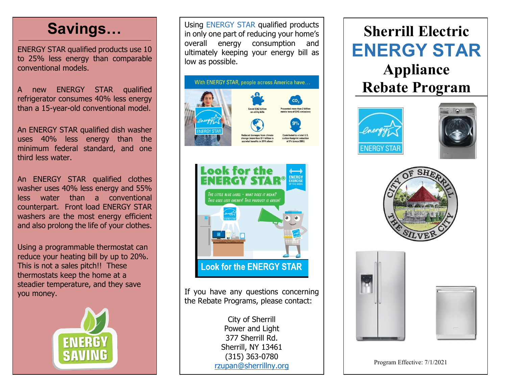# **Savings…**

ENERGY STAR qualified products use 10 to 25% less energy than comparable conventional models.

A new ENERGY STAR qualified refrigerator consumes 40% less energy than a 15-year-old conventional model.

An ENERGY STAR qualified dish washer uses 40% less energy than the minimum federal standard, and one third less water.

An ENERGY STAR qualified clothes washer uses 40% less energy and 55% less water than a conventional counterpart. Front load ENERGY STAR washers are the most energy efficient and also prolong the life of your clothes.

Using a programmable thermostat can reduce your heating bill by up to 20%. This is not a sales pitch!! These thermostats keep the home at a steadier temperature, and they save you money.



Using ENERGY STAR qualified products in only one part of reducing your home's overall energy consumption and ultimately keeping your energy bill as low as possible.





If you have any questions concerning the Rebate Programs, please contact:

> City of Sherrill Power and Light 377 Sherrill Rd. Sherrill, NY 13461 (315) 363-0780 [rzupan@sherrillny.org](mailto:rzupan@sherrillny.org)

# **Sherrill Electric ENERGY STAR**

**Appliance Rebate Program**









Program Effective: 7/1/2021